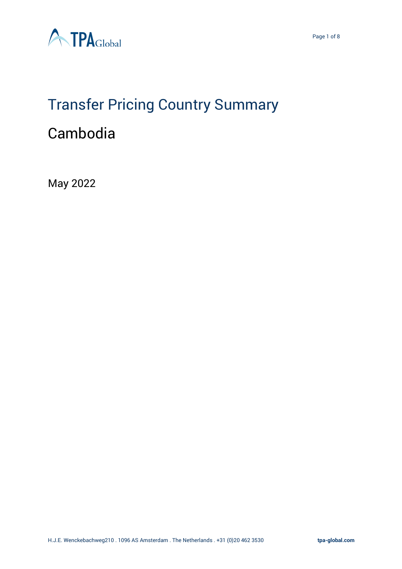

# Transfer Pricing Country Summary

# Cambodia

May 2022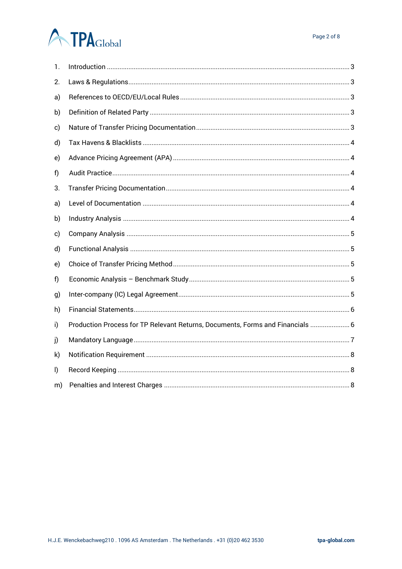# **ATPA**Global

| 1. |                                                                                |
|----|--------------------------------------------------------------------------------|
| 2. |                                                                                |
| a) |                                                                                |
| b) |                                                                                |
| c) |                                                                                |
| d) |                                                                                |
| e) |                                                                                |
| f) |                                                                                |
| 3. |                                                                                |
| a) |                                                                                |
| b) |                                                                                |
| c) |                                                                                |
| d) |                                                                                |
| e) |                                                                                |
| f) |                                                                                |
| g) |                                                                                |
| h) |                                                                                |
| i) | Production Process for TP Relevant Returns, Documents, Forms and Financials  6 |
| j) |                                                                                |
| k) |                                                                                |
| I) |                                                                                |
| m) |                                                                                |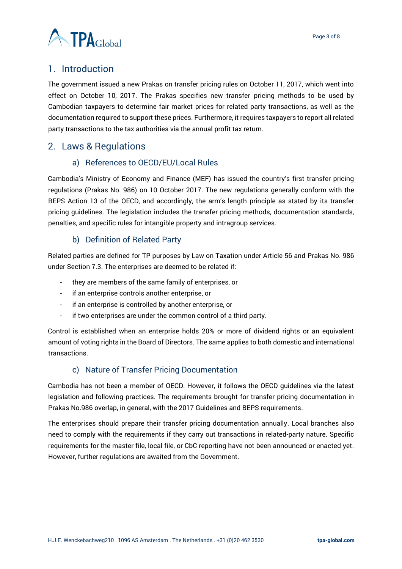

# <span id="page-2-0"></span>1. Introduction

The government issued a new Prakas on transfer pricing rules on October 11, 2017, which went into effect on October 10, 2017. The Prakas specifies new transfer pricing methods to be used by Cambodian taxpayers to determine fair market prices for related party transactions, as well as the documentation required to support these prices. Furthermore, it requires taxpayers to report all related party transactions to the tax authorities via the annual profit tax return.

# <span id="page-2-2"></span><span id="page-2-1"></span>2. Laws & Regulations

#### a) References to OECD/EU/Local Rules

Cambodia's Ministry of Economy and Finance (MEF) has issued the country's first transfer pricing regulations (Prakas No. 986) on 10 October 2017. The new regulations generally conform with the BEPS Action 13 of the OECD, and accordingly, the arm's length principle as stated by its transfer pricing guidelines. The legislation includes the transfer pricing methods, documentation standards, penalties, and specific rules for intangible property and intragroup services.

#### b) Definition of Related Party

<span id="page-2-3"></span>Related parties are defined for TP purposes by Law on Taxation under Article 56 and Prakas No. 986 under Section 7.3. The enterprises are deemed to be related if:

- they are members of the same family of enterprises, or
- if an enterprise controls another enterprise, or
- if an enterprise is controlled by another enterprise, or
- if two enterprises are under the common control of a third party.

Control is established when an enterprise holds 20% or more of dividend rights or an equivalent amount of voting rights in the Board of Directors. The same applies to both domestic and international transactions.

#### c) Nature of Transfer Pricing Documentation

<span id="page-2-4"></span>Cambodia has not been a member of OECD. However, it follows the OECD guidelines via the latest legislation and following practices. The requirements brought for transfer pricing documentation in Prakas No.986 overlap, in general, with the 2017 Guidelines and BEPS requirements.

The enterprises should prepare their transfer pricing documentation annually. Local branches also need to comply with the requirements if they carry out transactions in related-party nature. Specific requirements for the master file, local file, or CbC reporting have not been announced or enacted yet. However, further regulations are awaited from the Government.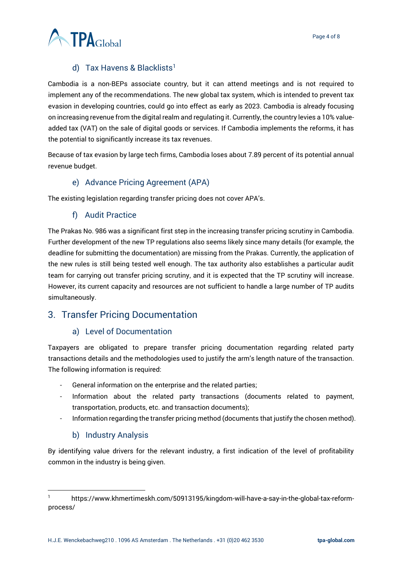

## d) Tax Havens & Blacklists<sup>1</sup>

<span id="page-3-0"></span>Cambodia is a non-BEPs associate country, but it can attend meetings and is not required to implement any of the recommendations. The new global tax system, which is intended to prevent tax evasion in developing countries, could go into effect as early as 2023. Cambodia is already focusing on increasing revenue from the digital realm and regulating it. Currently, the country levies a 10% valueadded tax (VAT) on the sale of digital goods or services. If Cambodia implements the reforms, it has the potential to significantly increase its tax revenues.

Because of tax evasion by large tech firms, Cambodia loses about 7.89 percent of its potential annual revenue budget.

#### e) Advance Pricing Agreement (APA)

<span id="page-3-2"></span><span id="page-3-1"></span>The existing legislation regarding transfer pricing does not cover APA's.

#### f) Audit Practice

The Prakas No. 986 was a significant first step in the increasing transfer pricing scrutiny in Cambodia. Further development of the new TP regulations also seems likely since many details (for example, the deadline for submitting the documentation) are missing from the Prakas. Currently, the application of the new rules is still being tested well enough. The tax authority also establishes a particular audit team for carrying out transfer pricing scrutiny, and it is expected that the TP scrutiny will increase. However, its current capacity and resources are not sufficient to handle a large number of TP audits simultaneously.

# <span id="page-3-4"></span><span id="page-3-3"></span>3. Transfer Pricing Documentation

#### a) Level of Documentation

Taxpayers are obligated to prepare transfer pricing documentation regarding related party transactions details and the methodologies used to justify the arm's length nature of the transaction. The following information is required:

- General information on the enterprise and the related parties;
- Information about the related party transactions (documents related to payment, transportation, products, etc. and transaction documents);
- Information regarding the transfer pricing method (documents that justify the chosen method).

#### b) Industry Analysis

<span id="page-3-5"></span>By identifying value drivers for the relevant industry, a first indication of the level of profitability common in the industry is being given.

<sup>1</sup> https://www.khmertimeskh.com/50913195/kingdom-will-have-a-say-in-the-global-tax-reformprocess/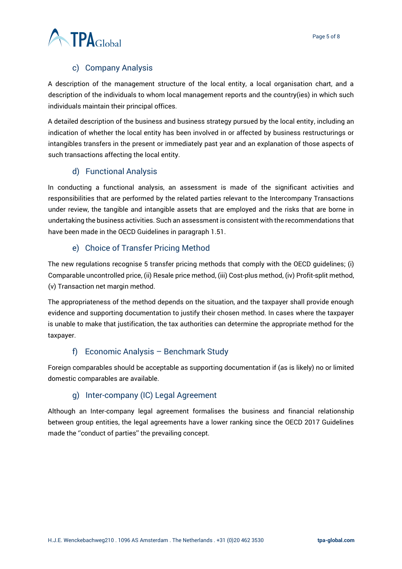

## c) Company Analysis

<span id="page-4-0"></span>A description of the management structure of the local entity, a local organisation chart, and a description of the individuals to whom local management reports and the country(ies) in which such individuals maintain their principal offices.

A detailed description of the business and business strategy pursued by the local entity, including an indication of whether the local entity has been involved in or affected by business restructurings or intangibles transfers in the present or immediately past year and an explanation of those aspects of such transactions affecting the local entity.

## d) Functional Analysis

<span id="page-4-1"></span>In conducting a functional analysis, an assessment is made of the significant activities and responsibilities that are performed by the related parties relevant to the Intercompany Transactions under review, the tangible and intangible assets that are employed and the risks that are borne in undertaking the business activities. Such an assessment is consistent with the recommendations that have been made in the OECD Guidelines in paragraph 1.51.

#### e) Choice of Transfer Pricing Method

<span id="page-4-2"></span>The new regulations recognise 5 transfer pricing methods that comply with the OECD guidelines; (i) Comparable uncontrolled price, (ii) Resale price method, (iii) Cost-plus method, (iv) Profit-split method, (v) Transaction net margin method.

The appropriateness of the method depends on the situation, and the taxpayer shall provide enough evidence and supporting documentation to justify their chosen method. In cases where the taxpayer is unable to make that justification, the tax authorities can determine the appropriate method for the taxpayer.

# f) Economic Analysis – Benchmark Study

<span id="page-4-3"></span>Foreign comparables should be acceptable as supporting documentation if (as is likely) no or limited domestic comparables are available.

#### g) Inter-company (IC) Legal Agreement

<span id="page-4-4"></span>Although an Inter-company legal agreement formalises the business and financial relationship between group entities, the legal agreements have a lower ranking since the OECD 2017 Guidelines made the ''conduct of parties'' the prevailing concept.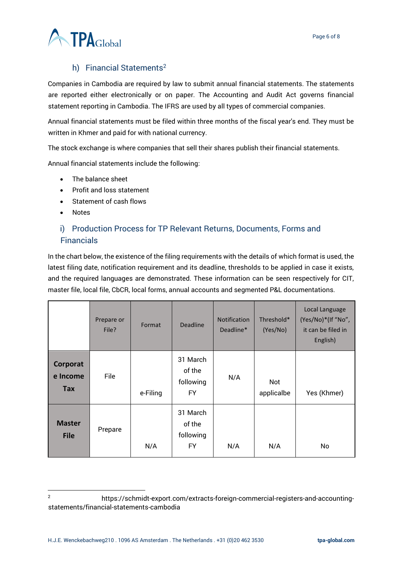

# h) Financial Statements<sup>2</sup>

<span id="page-5-0"></span>Companies in Cambodia are required by law to submit annual financial statements. The statements are reported either electronically or on paper. The Accounting and Audit Act governs financial statement reporting in Cambodia. The IFRS are used by all types of commercial companies.

Annual financial statements must be filed within three months of the fiscal year's end. They must be written in Khmer and paid for with national currency.

The stock exchange is where companies that sell their shares publish their financial statements.

Annual financial statements include the following:

- The balance sheet
- Profit and loss statement
- Statement of cash flows
- Notes

#### <span id="page-5-1"></span>i) Production Process for TP Relevant Returns, Documents, Forms and **Financials**

In the chart below, the existence of the filing requirements with the details of which format is used, the latest filing date, notification requirement and its deadline, thresholds to be applied in case it exists, and the required languages are demonstrated. These information can be seen respectively for CIT, master file, local file, CbCR, local forms, annual accounts and segmented P&L documentations.

|                                    | Prepare or<br>File? | Format   | <b>Deadline</b>                              | <b>Notification</b><br>Deadline* | Threshold*<br>(Yes/No) | Local Language<br>(Yes/No)*(If "No",<br>it can be filed in<br>English) |
|------------------------------------|---------------------|----------|----------------------------------------------|----------------------------------|------------------------|------------------------------------------------------------------------|
| Corporat<br>e Income<br><b>Tax</b> | File                | e-Filing | 31 March<br>of the<br>following<br><b>FY</b> | N/A                              | Not<br>applicalbe      | Yes (Khmer)                                                            |
| <b>Master</b><br><b>File</b>       | Prepare             | N/A      | 31 March<br>of the<br>following<br>FY        | N/A                              | N/A                    | No                                                                     |

<sup>2</sup> https://schmidt-export.com/extracts-foreign-commercial-registers-and-accountingstatements/financial-statements-cambodia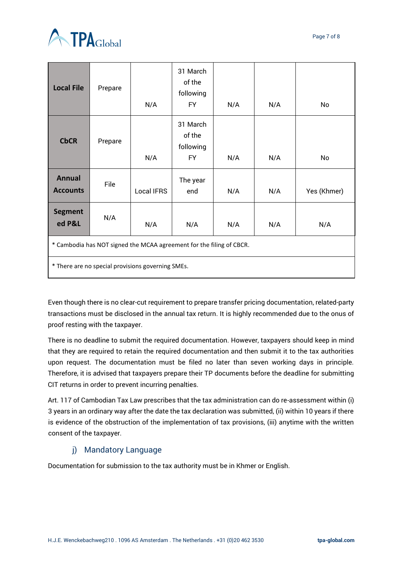

| <b>Local File</b>                                                    | Prepare | N/A        | 31 March<br>of the<br>following<br><b>FY</b> | N/A | N/A | No          |  |  |  |
|----------------------------------------------------------------------|---------|------------|----------------------------------------------|-----|-----|-------------|--|--|--|
| <b>CbCR</b>                                                          | Prepare | N/A        | 31 March<br>of the<br>following<br><b>FY</b> | N/A | N/A | No          |  |  |  |
| <b>Annual</b><br><b>Accounts</b>                                     | File    | Local IFRS | The year<br>end                              | N/A | N/A | Yes (Khmer) |  |  |  |
| <b>Segment</b><br>ed P&L                                             | N/A     | N/A        | N/A                                          | N/A | N/A | N/A         |  |  |  |
| * Cambodia has NOT signed the MCAA agreement for the filing of CBCR. |         |            |                                              |     |     |             |  |  |  |
| * There are no special provisions governing SMEs.                    |         |            |                                              |     |     |             |  |  |  |

Even though there is no clear-cut requirement to prepare transfer pricing documentation, related-party transactions must be disclosed in the annual tax return. It is highly recommended due to the onus of proof resting with the taxpayer.

There is no deadline to submit the required documentation. However, taxpayers should keep in mind that they are required to retain the required documentation and then submit it to the tax authorities upon request. The documentation must be filed no later than seven working days in principle. Therefore, it is advised that taxpayers prepare their TP documents before the deadline for submitting CIT returns in order to prevent incurring penalties.

Art. 117 of Cambodian Tax Law prescribes that the tax administration can do re-assessment within (i) 3 years in an ordinary way after the date the tax declaration was submitted, (ii) within 10 years if there is evidence of the obstruction of the implementation of tax provisions, (iii) anytime with the written consent of the taxpayer.

# j) Mandatory Language

<span id="page-6-0"></span>Documentation for submission to the tax authority must be in Khmer or English.